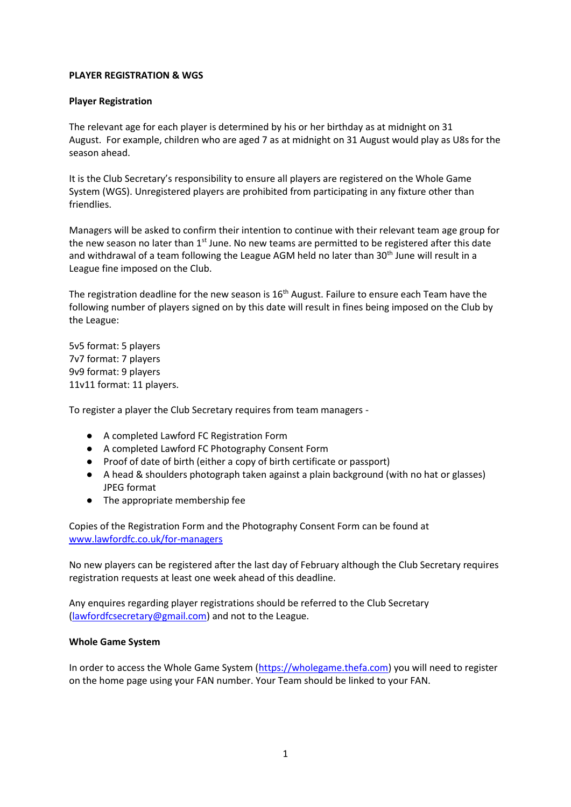## **PLAYER REGISTRATION & WGS**

## **Player Registration**

The relevant age for each player is determined by his or her birthday as at midnight on 31 August. For example, children who are aged 7 as at midnight on 31 August would play as U8s for the season ahead.

It is the Club Secretary's responsibility to ensure all players are registered on the Whole Game System (WGS). Unregistered players are prohibited from participating in any fixture other than friendlies.

Managers will be asked to confirm their intention to continue with their relevant team age group for the new season no later than  $1<sup>st</sup>$  June. No new teams are permitted to be registered after this date and withdrawal of a team following the League AGM held no later than 30<sup>th</sup> June will result in a League fine imposed on the Club.

The registration deadline for the new season is 16<sup>th</sup> August. Failure to ensure each Team have the following number of players signed on by this date will result in fines being imposed on the Club by the League:

5v5 format: 5 players 7v7 format: 7 players 9v9 format: 9 players 11v11 format: 11 players.

To register a player the Club Secretary requires from team managers -

- A completed Lawford FC Registration Form
- A completed Lawford FC Photography Consent Form
- Proof of date of birth (either a copy of birth certificate or passport)
- A head & shoulders photograph taken against a plain background (with no hat or glasses) JPEG format
- The appropriate membership fee

Copies of the Registration Form and the Photography Consent Form can be found at [www.lawfordfc.co.uk/for-managers](http://www.lawfordfc.co.uk/for-managers)

No new players can be registered after the last day of February although the Club Secretary requires registration requests at least one week ahead of this deadline.

Any enquires regarding player registrations should be referred to the Club Secretary [\(lawfordfcsecretary@gmail.com\)](mailto:lawfordfcsecretary@gmail.com) and not to the League.

## **Whole Game System**

In order to access the Whole Game System [\(https://wholegame.thefa.com\)](https://wholegame.thefa.com/) you will need to register on the home page using your FAN number. Your Team should be linked to your FAN.